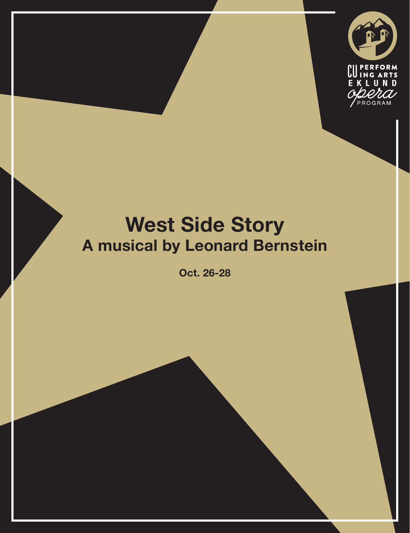

# **West Side Story A musical by Leonard Bernstein**

**Oct. 26-28**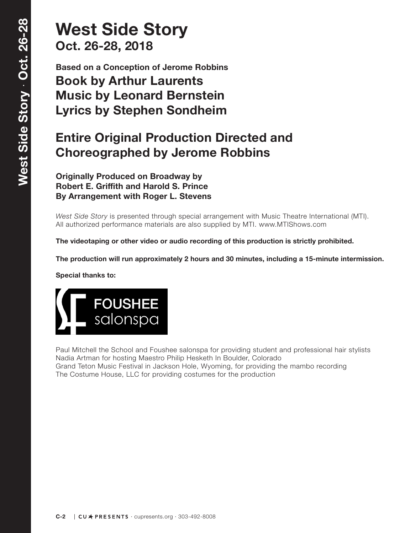## **West Side Story Oct. 26-28, 2018**

**Based on a Conception of Jerome Robbins Book by Arthur Laurents Music by Leonard Bernstein Lyrics by Stephen Sondheim**

### **Entire Original Production Directed and Choreographed by Jerome Robbins**

**Originally Produced on Broadway by Robert E. Griffith and Harold S. Prince By Arrangement with Roger L. Stevens**

*West Side Story* is presented through special arrangement with Music Theatre International (MTI). All authorized performance materials are also supplied by MTI. www.MTIShows.com

**The videotaping or other video or audio recording of this production is strictly prohibited.**

**The production will run approximately 2 hours and 30 minutes, including a 15-minute intermission.**

**Special thanks to:**



Paul Mitchell the School and Foushee salonspa for providing student and professional hair stylists Nadia Artman for hosting Maestro Philip Hesketh In Boulder, Colorado Grand Teton Music Festival in Jackson Hole, Wyoming, for providing the mambo recording The Costume House, LLC for providing costumes for the production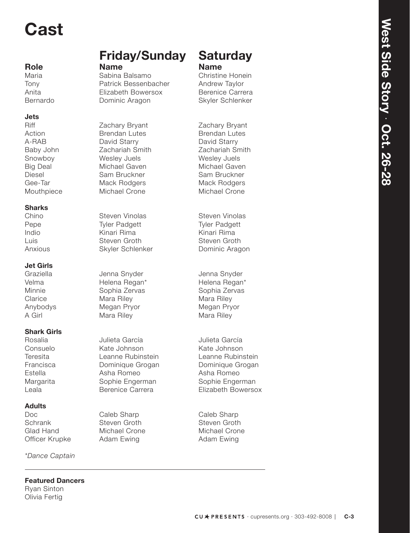# **Cast**

### **Jets**

### **Sharks**

### **Jet Girls**

### **Shark Girls**

### **Adults**

*\*Dance Captain*

#### **Featured Dancers**

Ryan Sinton Olivia Fertig

# **Friday/Sunday Saturday**<br> **Role Name Name**<br>
Maria Sabina Balsamo Christine Honein

Tony Patrick Bessenbacher Andrew Taylor Anita **Elizabeth Bowersox** Berenice Carrera Bernardo **Dominic Aragon** Skyler Schlenker

Action **Brendan Lutes** Brendan Lutes A-RAB David Starry David Starry David Starry Baby John **Zachariah Smith** Zachariah Smith Snowboy Wesley Juels Wesley Juels Big Deal Michael Gaven Michael Gaven Diesel Sam Bruckner Sam Bruckner Gee-Tar **Mack Rodgers** Mack Rodgers Mack Rodgers Mouthpiece Michael Crone Michael Crone

Steven Vinolas Steven Vinolas Pepe Tyler Padgett Tyler Padgett Indio Kinari Rima Kinari Rima Luis Steven Groth Steven Groth Anxious Skyler Schlenker Dominic Aragon

Jenna Snyder Jenna Snyder Velma **Helena Regan\*** Helena Regan\* Minnie Christophia Zervas Cophia Zervas Sophia Zervas Clarice Mara Riley March 2012 Mara Riley Anybodys Megan Pryor Megan Pryor A Girl Mara Riley Mara Riley Mara Riley

Rosalia Julieta García Julieta García Consuelo Kate Johnson Kate Johnson Teresita Leanne Rubinstein Leanne Rubinstein Francisca **Dominique Grogan** Dominique Grogan Estella **Asha Romeo** Asha Romeo Asha Romeo Margarita **Sophie Engerman** Sophie Engerman

Caleb Sharp Caleb Sharp Schrank Steven Groth Steven Groth Steven Groth Glad Hand Michael Crone Michael Crone Officer Krupke Adam Ewing **Adam Ewing** 

Christine Honein

Zachary Bryant Zachary Bryant

Leala Berenice Carrera Elizabeth Bowersox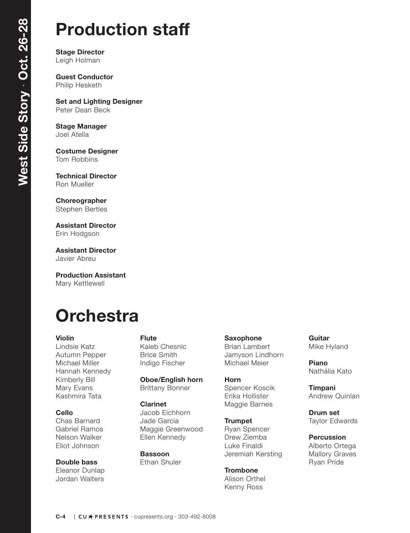# **Production staff**

**Stage Director** Leigh Holman

**Guest Conductor** Philip Hesketh

**Set and Lighting Designer** Peter Dean Beck

**Stage Manager** Joel Atella

**Costume Designer** Tom Robbins

**Technical Director** Ron Mueller

**Choreographer**

Stephen Bertles

**Assistant Director** Erin Hodgson

**Assistant Director** Javier Abreu

**Production Assistant**  Mary Kettlewell

# **Orchestra**

#### **Violin**

Lindsie Katz Autumn Pepper Michael Miller Hannah Kennedy Kimberly Bill Mary Evans Kashmira Tata

#### **Cello**

Chas Barnard Gabriel Ramos Nelson Walker Eliot Johnson

**Double bass** Eleanor Dunlap Jordan Walters

#### **Flute**

Kaleb Chesnic Brice Smith Indigo Fischer

**Oboe/English horn** Brittany Bonner

#### **Clarinet**

Jacob Eichhorn Jade Garcia Maggie Greenwood Ellen Kennedy

**Bassoon** Ethan Shuler **Saxophone** Brian Lambert Jamyson Lindhorn Michael Meier

**Horn** Spencer Koscik Erika Hollister Maggie Barnes

**Trumpet** Ryan Spencer Drew Ziemba Luke Finaldi Jeremiah Kersting

**Trombone** Alison Orthel Kenny Ross

**Guitar** Mike Hyland

**Piano** Nathália Kato

**Timpani** Andrew Quinlan

**Drum set** Taylor Edwards

**Percussion** Alberto Ortega Mallory Graves Ryan Pride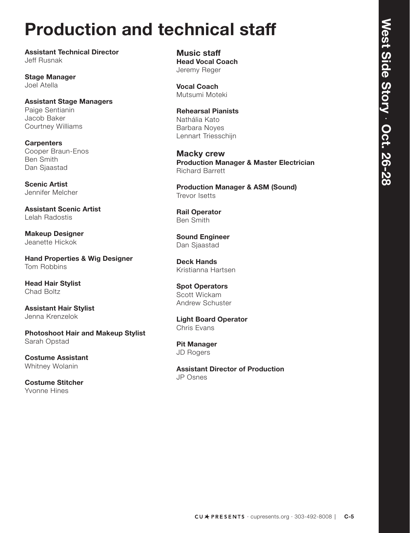# **Production and technical staff**

**Assistant Technical Director** Jeff Rusnak

**Stage Manager** Joel Atella

**Assistant Stage Managers** Paige Sentianin Jacob Baker Courtney Williams

**Carpenters** Cooper Braun-Enos Ben Smith Dan Sjaastad

**Scenic Artist**  Jennifer Melcher

**Assistant Scenic Artist** Lelah Radostis

**Makeup Designer** Jeanette Hickok

**Hand Properties & Wig Designer** Tom Robbins

**Head Hair Stylist** Chad Boltz

**Assistant Hair Stylist** Jenna Krenzelok

**Photoshoot Hair and Makeup Stylist**  Sarah Opstad

**Costume Assistant** Whitney Wolanin

**Costume Stitcher** Yvonne Hines

**Music staff Head Vocal Coach** Jeremy Reger

**Vocal Coach** Mutsumi Moteki

**Rehearsal Pianists** Nathália Kato Barbara Noyes Lennart Triesschijn

**Macky crew Production Manager & Master Electrician** Richard Barrett

**Production Manager & ASM (Sound)** Trevor Isetts

**Rail Operator** Ben Smith

**Sound Engineer** Dan Sjaastad

**Deck Hands** Kristianna Hartsen

**Spot Operators** Scott Wickam Andrew Schuster

**Light Board Operator** Chris Evans

**Pit Manager** JD Rogers

**Assistant Director of Production** JP Osnes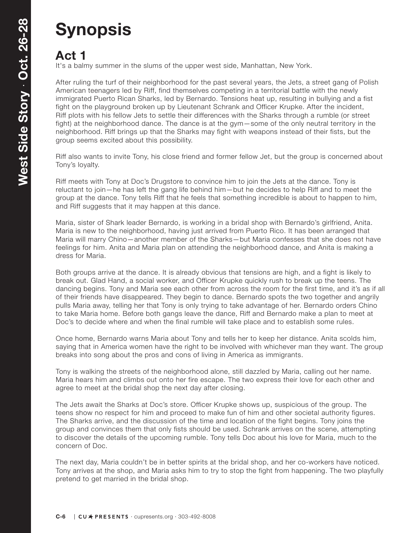# **Synopsis**

### **Act 1**

It's a balmy summer in the slums of the upper west side, Manhattan, New York.

After ruling the turf of their neighborhood for the past several years, the Jets, a street gang of Polish American teenagers led by Riff, find themselves competing in a territorial battle with the newly immigrated Puerto Rican Sharks, led by Bernardo. Tensions heat up, resulting in bullying and a fist fight on the playground broken up by Lieutenant Schrank and Officer Krupke. After the incident, Riff plots with his fellow Jets to settle their differences with the Sharks through a rumble (or street fight) at the neighborhood dance. The dance is at the gym—some of the only neutral territory in the neighborhood. Riff brings up that the Sharks may fight with weapons instead of their fists, but the group seems excited about this possibility.

Riff also wants to invite Tony, his close friend and former fellow Jet, but the group is concerned about Tony's loyalty.

Riff meets with Tony at Doc's Drugstore to convince him to join the Jets at the dance. Tony is reluctant to join—he has left the gang life behind him—but he decides to help Riff and to meet the group at the dance. Tony tells Riff that he feels that something incredible is about to happen to him, and Riff suggests that it may happen at this dance.

Maria, sister of Shark leader Bernardo, is working in a bridal shop with Bernardo's girlfriend, Anita. Maria is new to the neighborhood, having just arrived from Puerto Rico. It has been arranged that Maria will marry Chino—another member of the Sharks—but Maria confesses that she does not have feelings for him. Anita and Maria plan on attending the neighborhood dance, and Anita is making a dress for Maria.

Both groups arrive at the dance. It is already obvious that tensions are high, and a fight is likely to break out. Glad Hand, a social worker, and Officer Krupke quickly rush to break up the teens. The dancing begins. Tony and Maria see each other from across the room for the first time, and it's as if all of their friends have disappeared. They begin to dance. Bernardo spots the two together and angrily pulls Maria away, telling her that Tony is only trying to take advantage of her. Bernardo orders Chino to take Maria home. Before both gangs leave the dance, Riff and Bernardo make a plan to meet at Doc's to decide where and when the final rumble will take place and to establish some rules.

Once home, Bernardo warns Maria about Tony and tells her to keep her distance. Anita scolds him, saying that in America women have the right to be involved with whichever man they want. The group breaks into song about the pros and cons of living in America as immigrants.

Tony is walking the streets of the neighborhood alone, still dazzled by Maria, calling out her name. Maria hears him and climbs out onto her fire escape. The two express their love for each other and agree to meet at the bridal shop the next day after closing.

The Jets await the Sharks at Doc's store. Officer Krupke shows up, suspicious of the group. The teens show no respect for him and proceed to make fun of him and other societal authority figures. The Sharks arrive, and the discussion of the time and location of the fight begins. Tony joins the group and convinces them that only fists should be used. Schrank arrives on the scene, attempting to discover the details of the upcoming rumble. Tony tells Doc about his love for Maria, much to the concern of Doc.

The next day, Maria couldn't be in better spirits at the bridal shop, and her co-workers have noticed. Tony arrives at the shop, and Maria asks him to try to stop the fight from happening. The two playfully pretend to get married in the bridal shop.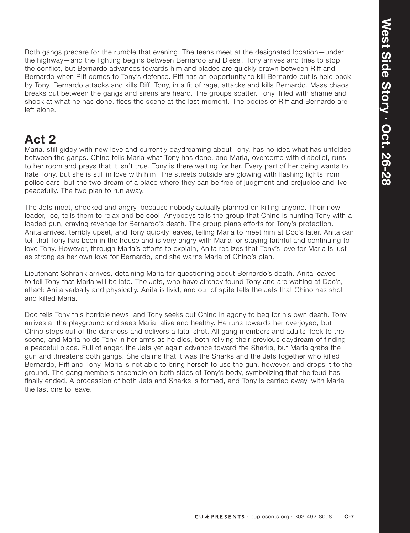Both gangs prepare for the rumble that evening. The teens meet at the designated location—under the highway—and the fighting begins between Bernardo and Diesel. Tony arrives and tries to stop the conflict, but Bernardo advances towards him and blades are quickly drawn between Riff and Bernardo when Riff comes to Tony's defense. Riff has an opportunity to kill Bernardo but is held back by Tony. Bernardo attacks and kills Riff. Tony, in a fit of rage, attacks and kills Bernardo. Mass chaos breaks out between the gangs and sirens are heard. The groups scatter. Tony, filled with shame and shock at what he has done, flees the scene at the last moment. The bodies of Riff and Bernardo are left alone.

### **Act 2**

Maria, still giddy with new love and currently daydreaming about Tony, has no idea what has unfolded between the gangs. Chino tells Maria what Tony has done, and Maria, overcome with disbelief, runs to her room and prays that it isn't true. Tony is there waiting for her. Every part of her being wants to hate Tony, but she is still in love with him. The streets outside are glowing with flashing lights from police cars, but the two dream of a place where they can be free of judgment and prejudice and live peacefully. The two plan to run away.

The Jets meet, shocked and angry, because nobody actually planned on killing anyone. Their new leader, Ice, tells them to relax and be cool. Anybodys tells the group that Chino is hunting Tony with a loaded gun, craving revenge for Bernardo's death. The group plans efforts for Tony's protection. Anita arrives, terribly upset, and Tony quickly leaves, telling Maria to meet him at Doc's later. Anita can tell that Tony has been in the house and is very angry with Maria for staying faithful and continuing to love Tony. However, through Maria's efforts to explain, Anita realizes that Tony's love for Maria is just as strong as her own love for Bernardo, and she warns Maria of Chino's plan.

Lieutenant Schrank arrives, detaining Maria for questioning about Bernardo's death. Anita leaves to tell Tony that Maria will be late. The Jets, who have already found Tony and are waiting at Doc's, attack Anita verbally and physically. Anita is livid, and out of spite tells the Jets that Chino has shot and killed Maria.

Doc tells Tony this horrible news, and Tony seeks out Chino in agony to beg for his own death. Tony arrives at the playground and sees Maria, alive and healthy. He runs towards her overjoyed, but Chino steps out of the darkness and delivers a fatal shot. All gang members and adults flock to the scene, and Maria holds Tony in her arms as he dies, both reliving their previous daydream of finding a peaceful place. Full of anger, the Jets yet again advance toward the Sharks, but Maria grabs the gun and threatens both gangs. She claims that it was the Sharks and the Jets together who killed Bernardo, Riff and Tony. Maria is not able to bring herself to use the gun, however, and drops it to the ground. The gang members assemble on both sides of Tony's body, symbolizing that the feud has finally ended. A procession of both Jets and Sharks is formed, and Tony is carried away, with Maria the last one to leave.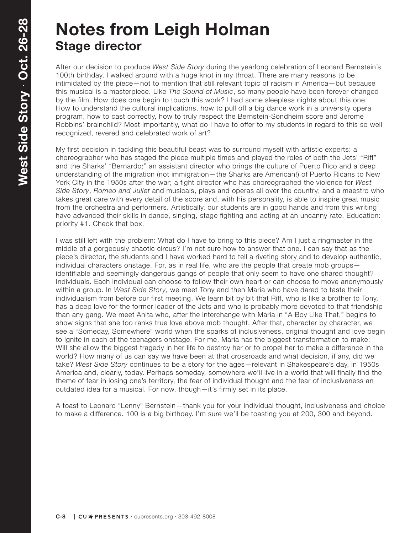# **Notes from Leigh Holman Stage director**

After our decision to produce *West Side Story* during the yearlong celebration of Leonard Bernstein's 100th birthday, I walked around with a huge knot in my throat. There are many reasons to be intimidated by the piece—not to mention that still relevant topic of racism in America—but because this musical is a masterpiece. Like *The Sound of Music*, so many people have been forever changed by the film. How does one begin to touch this work? I had some sleepless nights about this one. How to understand the cultural implications, how to pull off a big dance work in a university opera program, how to cast correctly, how to truly respect the Bernstein-Sondheim score and Jerome Robbins' brainchild? Most importantly, what do I have to offer to my students in regard to this so well recognized, revered and celebrated work of art?

My first decision in tackling this beautiful beast was to surround myself with artistic experts: a choreographer who has staged the piece multiple times and played the roles of both the Jets' "Riff" and the Sharks' "Bernardo;" an assistant director who brings the culture of Puerto Rico and a deep understanding of the migration (not immigration—the Sharks are American!) of Puerto Ricans to New York City in the 1950s after the war; a fight director who has choreographed the violence for *West Side Story*, *Romeo and Juliet* and musicals, plays and operas all over the country; and a maestro who takes great care with every detail of the score and, with his personality, is able to inspire great music from the orchestra and performers. Artistically, our students are in good hands and from this writing have advanced their skills in dance, singing, stage fighting and acting at an uncanny rate. Education: priority #1. Check that box.

I was still left with the problem: What do I have to bring to this piece? Am I just a ringmaster in the middle of a gorgeously chaotic circus? I'm not sure how to answer that one. I can say that as the piece's director, the students and I have worked hard to tell a riveting story and to develop authentic, individual characters onstage. For, as in real life, who are the people that create mob groups identifiable and seemingly dangerous gangs of people that only seem to have one shared thought? Individuals. Each individual can choose to follow their own heart or can choose to move anonymously within a group. In *West Side Story*, we meet Tony and then Maria who have dared to taste their individualism from before our first meeting. We learn bit by bit that Riff, who is like a brother to Tony, has a deep love for the former leader of the Jets and who is probably more devoted to that friendship than any gang. We meet Anita who, after the interchange with Maria in "A Boy Like That," begins to show signs that she too ranks true love above mob thought. After that, character by character, we see a "Someday, Somewhere" world when the sparks of inclusiveness, original thought and love begin to ignite in each of the teenagers onstage. For me, Maria has the biggest transformation to make: Will she allow the biggest tragedy in her life to destroy her or to propel her to make a difference in the world? How many of us can say we have been at that crossroads and what decision, if any, did we take? *West Side Story* continues to be a story for the ages—relevant in Shakespeare's day, in 1950s America and, clearly, today. Perhaps someday, somewhere we'll live in a world that will finally find the theme of fear in losing one's territory, the fear of individual thought and the fear of inclusiveness an outdated idea for a musical. For now, though—it's firmly set in its place.

A toast to Leonard "Lenny" Bernstein—thank you for your individual thought, inclusiveness and choice to make a difference. 100 is a big birthday. I'm sure we'll be toasting you at 200, 300 and beyond.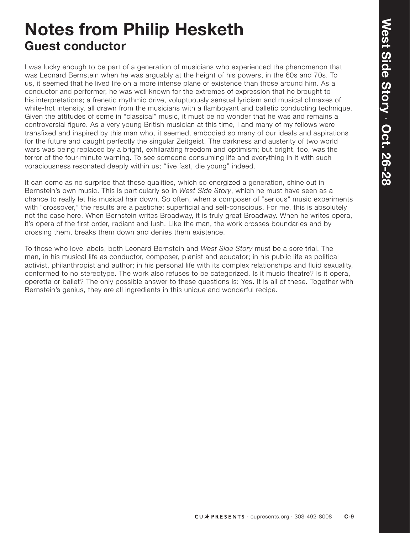# **Notes from Philip Hesketh Guest conductor**

I was lucky enough to be part of a generation of musicians who experienced the phenomenon that was Leonard Bernstein when he was arguably at the height of his powers, in the 60s and 70s. To us, it seemed that he lived life on a more intense plane of existence than those around him. As a conductor and performer, he was well known for the extremes of expression that he brought to his interpretations; a frenetic rhythmic drive, voluptuously sensual lyricism and musical climaxes of white-hot intensity, all drawn from the musicians with a flamboyant and balletic conducting technique. Given the attitudes of some in "classical" music, it must be no wonder that he was and remains a controversial figure. As a very young British musician at this time, I and many of my fellows were transfixed and inspired by this man who, it seemed, embodied so many of our ideals and aspirations for the future and caught perfectly the singular Zeitgeist. The darkness and austerity of two world wars was being replaced by a bright, exhilarating freedom and optimism; but bright, too, was the terror of the four-minute warning. To see someone consuming life and everything in it with such voraciousness resonated deeply within us; "live fast, die young" indeed.

It can come as no surprise that these qualities, which so energized a generation, shine out in Bernstein's own music. This is particularly so in *West Side Story*, which he must have seen as a chance to really let his musical hair down. So often, when a composer of "serious" music experiments with "crossover," the results are a pastiche; superficial and self-conscious. For me, this is absolutely not the case here. When Bernstein writes Broadway, it is truly great Broadway. When he writes opera, it's opera of the first order, radiant and lush. Like the man, the work crosses boundaries and by crossing them, breaks them down and denies them existence.

To those who love labels, both Leonard Bernstein and *West Side Story* must be a sore trial. The man, in his musical life as conductor, composer, pianist and educator; in his public life as political activist, philanthropist and author; in his personal life with its complex relationships and fluid sexuality, conformed to no stereotype. The work also refuses to be categorized. Is it music theatre? Is it opera, operetta or ballet? The only possible answer to these questions is: Yes. It is all of these. Together with Bernstein's genius, they are all ingredients in this unique and wonderful recipe.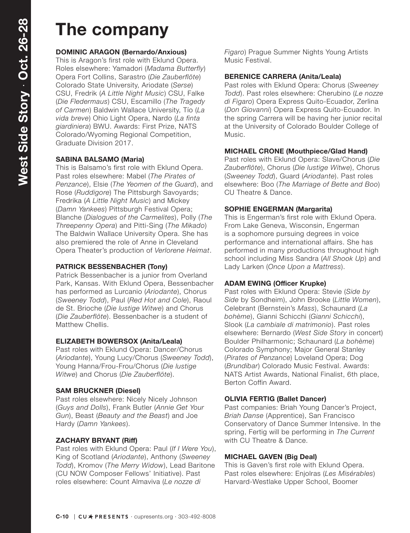# **The company**

#### **DOMINIC ARAGON (Bernardo/Anxious)**

This is Aragon's first role with Eklund Opera. Roles elsewhere: Yamadori (*Madama Butterfly*) Opera Fort Collins, Sarastro (*Die Zauberflöte*) Colorado State University, Ariodate (*Serse*) CSU, Fredrik (*A Little Night Music*) CSU, Falke (*Die Fledermaus*) CSU, Escamillo (*The Tragedy of Carmen*) Baldwin Wallace University, Tío (*La vida breve*) Ohio Light Opera, Nardo (*La finta giardiniera*) BWU. Awards: First Prize, NATS Colorado/Wyoming Regional Competition, Graduate Division 2017.

#### **SABINA BALSAMO (Maria)**

This is Balsamo's first role with Eklund Opera. Past roles elsewhere: Mabel (*The Pirates of Penzance*), Elsie (*The Yeomen of the Guard*), and Rose (*Ruddigore*) The Pittsburgh Savoyards; Fredrika (*A Little Night Music*) and Mickey (*Damn Yankees*) Pittsburgh Festival Opera; Blanche (*Dialogues of the Carmelites*), Polly (*The Threepenny Opera*) and Pitti-Sing (*The Mikado*) The Baldwin Wallace University Opera. She has also premiered the role of Anne in Cleveland Opera Theater's production of *Verlorene Heimat*.

#### **PATRICK BESSENBACHER (Tony)**

Patrick Bessenbacher is a junior from Overland Park, Kansas. With Eklund Opera, Bessenbacher has performed as Lurcanio (*Ariodante*), Chorus (*Sweeney Todd*), Paul (*Red Hot and Cole*), Raoul de St. Brioche (*Die lustige Witwe*) and Chorus (*Die Zauberflöte*). Bessenbacher is a student of Matthew Chellis.

#### **ELIZABETH BOWERSOX (Anita/Leala)**

Past roles with Eklund Opera: Dancer/Chorus (*Ariodante*), Young Lucy/Chorus (*Sweeney Todd*), Young Hanna/Frou-Frou/Chorus (*Die lustige Witwe*) and Chorus (*Die Zauberflöte*).

#### **SAM BRUCKNER (Diesel)**

Past roles elsewhere: Nicely Nicely Johnson (*Guys and Dolls*), Frank Butler (*Annie Get Your Gun*), Beast (*Beauty and the Beast*) and Joe Hardy (*Damn Yankees*).

#### **ZACHARY BRYANT (Riff)**

Past roles with Eklund Opera: Paul (*If I Were You*), King of Scotland (*Ariodante*), Anthony (*Sweeney Todd*), Kromov (*The Merry Widow*), Lead Baritone (CU NOW Composer Fellows' Initiative). Past roles elsewhere: Count Almaviva (*Le nozze di* 

*Figaro*) Prague Summer Nights Young Artists Music Festival.

#### **BERENICE CARRERA (Anita/Leala)**

Past roles with Eklund Opera: Chorus (*Sweeney Todd*). Past roles elsewhere: Cherubino (*Le nozze di Figaro*) Opera Express Quito-Ecuador, Zerlina (*Don Giovanni*) Opera Express Quito-Ecuador. In the spring Carrera will be having her junior recital at the University of Colorado Boulder College of Music.

#### **MICHAEL CRONE (Mouthpiece/Glad Hand)**

Past roles with Eklund Opera: Slave/Chorus (*Die Zauberflöte*), Chorus (*Die lustige Witwe*), Chorus (*Sweeney Todd*), Guard (*Ariodante*). Past roles elsewhere: Boo (*The Marriage of Bette and Boo*) CU Theatre & Dance.

#### **SOPHIE ENGERMAN (Margarita)**

This is Engerman's first role with Eklund Opera. From Lake Geneva, Wisconsin, Engerman is a sophomore pursuing degrees in voice performance and international affairs. She has performed in many productions throughout high school including Miss Sandra (*All Shook Up*) and Lady Larken (*Once Upon a Mattress*).

#### **ADAM EWING (Officer Krupke)**

Past roles with Eklund Opera: Stevie (*Side by Side* by Sondheim), John Brooke (*Little Women*), Celebrant (Bernstein's *Mass*), Schaunard (*La bohème*), Gianni Schicchi (*Gianni Schicchi*), Slook (*La cambiale di matrimonio*). Past roles elsewhere: Bernardo (*West Side Story* in concert) Boulder Philharmonic; Schaunard (*La bohème*) Colorado Symphony; Major General Stanley (*Pirates of Penzance*) Loveland Opera; Dog (*Brundibar*) Colorado Music Festival. Awards: NATS Artist Awards, National Finalist, 6th place, Berton Coffin Award.

#### **OLIVIA FERTIG (Ballet Dancer)**

Past companies: Briah Young Dancer's Project, *Briah Danse* (Apprentice), San Francisco Conservatory of Dance Summer Intensive. In the spring, Fertig will be performing in *The Current*  with CU Theatre & Dance.

#### **MICHAEL GAVEN (Big Deal)**

This is Gaven's first role with Eklund Opera. Past roles elsewhere: Enjolras (*Les Misérables*) Harvard-Westlake Upper School, Boomer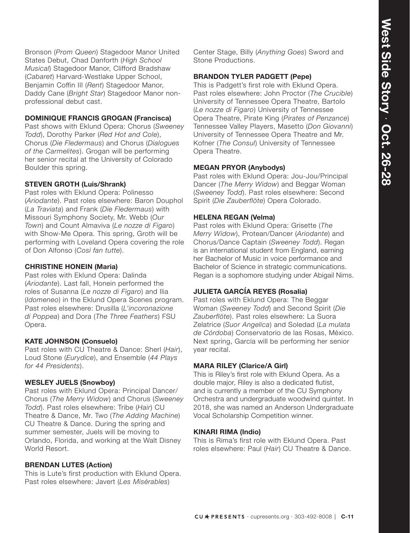Bronson (*Prom Queen*) Stagedoor Manor United States Debut, Chad Danforth (*High School Musical*) Stagedoor Manor, Clifford Bradshaw (*Cabaret*) Harvard-Westlake Upper School, Benjamin Coffin III (*Rent*) Stagedoor Manor, Daddy Cane (*Bright Star*) Stagedoor Manor nonprofessional debut cast.

#### **DOMINIQUE FRANCIS GROGAN (Francisca)**

Past shows with Eklund Opera: Chorus (*Sweeney Todd*), Dorothy Parker (*Red Hot and Cole*), Chorus (*Die Fledermaus*) and Chorus (*Dialogues of the Carmelites*). Grogan will be performing her senior recital at the University of Colorado Boulder this spring.

#### **STEVEN GROTH (Luis/Shrank)**

Past roles with Eklund Opera: Polinesso (*Ariodante*). Past roles elsewhere: Baron Douphol (*La Traviata*) and Frank (*Die Fledermaus*) with Missouri Symphony Society, Mr. Webb (*Our Town*) and Count Almaviva (*Le nozze di Figaro*) with Show-Me Opera. This spring, Groth will be performing with Loveland Opera covering the role of Don Alfonso (*Così fan tutte*).

#### **CHRISTINE HONEIN (Maria)**

Past roles with Eklund Opera: Dalinda (*Ariodante*). Last fall, Honein performed the roles of Susanna (*Le nozze di Figaro*) and Ilia (*Idomeneo*) in the Eklund Opera Scenes program. Past roles elsewhere: Drusilla (*L'incoronazione di Poppea*) and Dora (*The Three Feathers*) FSU Opera.

#### **KATE JOHNSON (Consuelo)**

Past roles with CU Theatre & Dance: Sherl (*Hair*), Loud Stone (*Eurydice*), and Ensemble (*44 Plays for 44 Presidents*).

#### **WESLEY JUELS (Snowboy)**

Past roles with Eklund Opera: Principal Dancer/ Chorus (*The Merry Widow*) and Chorus (*Sweeney Todd*). Past roles elsewhere: Tribe (*Hair*) CU Theatre & Dance, Mr. Two (*The Adding Machine*) CU Theatre & Dance. During the spring and summer semester, Juels will be moving to Orlando, Florida, and working at the Walt Disney World Resort

#### **BRENDAN LUTES (Action)**

This is Lute's first production with Eklund Opera. Past roles elsewhere: Javert (*Les Misérables*)

Center Stage, Billy (*Anything Goes*) Sword and Stone Productions.

#### **BRANDON TYLER PADGETT (Pepe)**

This is Padgett's first role with Eklund Opera. Past roles elsewhere: John Proctor (*The Crucible*) University of Tennessee Opera Theatre, Bartolo (*Le nozze di Figaro*) University of Tennessee Opera Theatre, Pirate King (*Pirates of Penzance*) Tennessee Valley Players, Masetto (*Don Giovanni*) University of Tennessee Opera Theatre and Mr. Kofner (*The Consul*) University of Tennessee Opera Theatre.

#### **MEGAN PRYOR (Anybodys)**

Past roles with Eklund Opera: Jou-Jou/Principal Dancer (*The Merry Widow*) and Beggar Woman (*Sweeney Todd*). Past roles elsewhere: Second Spirit (*Die Zauberflöte*) Opera Colorado.

#### **HELENA REGAN (Velma)**

Past roles with Eklund Opera: Grisette (*The Merry Widow*), Protean/Dancer (*Ariodante*) and Chorus/Dance Captain (*Sweeney Todd*). Regan is an international student from England, earning her Bachelor of Music in voice performance and Bachelor of Science in strategic communications. Regan is a sophomore studying under Abigail Nims.

#### **JULIETA GARCÍA REYES (Rosalia)**

Past roles with Eklund Opera: The Beggar Woman (*Sweeney Todd*) and Second Spirit (*Die Zauberflöte*). Past roles elsewhere: La Suora Zelatrice (*Suor Angelica*) and Soledad (*La mulata de Córdoba*) Conservatorio de las Rosas, México. Next spring, García will be performing her senior year recital.

#### **MARA RILEY (Clarice/A Girl)**

This is Riley's first role with Eklund Opera. As a double major, Riley is also a dedicated flutist, and is currently a member of the CU Symphony Orchestra and undergraduate woodwind quintet. In 2018, she was named an Anderson Undergraduate Vocal Scholarship Competition winner.

#### **KINARI RIMA (Indio)**

This is Rima's first role with Eklund Opera. Past roles elsewhere: Paul (*Hair*) CU Theatre & Dance.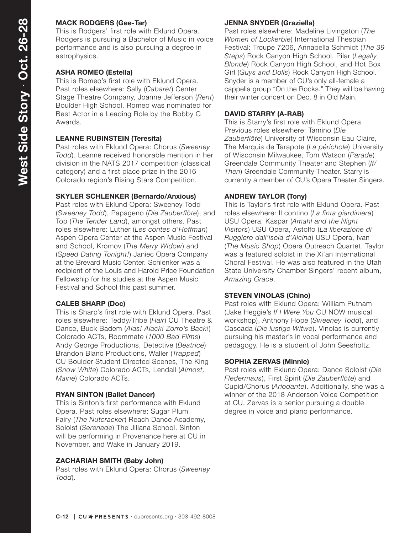#### **MACK RODGERS (Gee-Tar)**

This is Rodgers' first role with Eklund Opera. Rodgers is pursuing a Bachelor of Music in voice performance and is also pursuing a degree in astrophysics.

#### **ASHA ROMEO (Estella)**

This is Romeo's first role with Eklund Opera. Past roles elsewhere: Sally (*Cabaret*) Center Stage Theatre Company, Joanne Jefferson (*Rent*) Boulder High School. Romeo was nominated for Best Actor in a Leading Role by the Bobby G Awards.

#### **LEANNE RUBINSTEIN (Teresita)**

Past roles with Eklund Opera: Chorus (*Sweeney Todd*). Leanne received honorable mention in her division in the NATS 2017 competition (classical category) and a first place prize in the 2016 Colorado region's Rising Stars Competition.

#### **SKYLER SCHLENKER (Bernardo/Anxious)**

Past roles with Eklund Opera: Sweeney Todd (*Sweeney Todd*), Papageno (*Die Zauberflöte*), and Top (*The Tender Land*), amongst others. Past roles elsewhere: Luther (*Les contes d'Hoffman*) Aspen Opera Center at the Aspen Music Festival and School, Kromov (*The Merry Widow*) and (*Speed Dating Tonight!*) Janiec Opera Company at the Brevard Music Center. Schlenker was a recipient of the Louis and Harold Price Foundation Fellowship for his studies at the Aspen Music Festival and School this past summer.

#### **CALEB SHARP (Doc)**

This is Sharp's first role with Eklund Opera. Past roles elsewhere: Teddy/Tribe (*Hair*) CU Theatre & Dance, Buck Badem (*Alas! Alack! Zorro's Back!*) Colorado ACTs, Roommate (*1000 Bad Films*) Andy George Productions, Detective (*Beatrice*) Brandon Blanc Productions, Waller (*Trapped*) CU Boulder Student Directed Scenes, The King (*Snow White*) Colorado ACTs, Lendall (*Almost, Maine*) Colorado ACTs.

#### **RYAN SINTON (Ballet Dancer)**

This is Sinton's first performance with Eklund Opera. Past roles elsewhere: Sugar Plum Fairy (*The Nutcracker*) Reach Dance Academy, Soloist (*Serenade*) The Jillana School. Sinton will be performing in Provenance here at CU in November, and Wake in January 2019.

#### **ZACHARIAH SMITH (Baby John)**

Past roles with Eklund Opera: Chorus (*Sweeney Todd*).

#### **JENNA SNYDER (Graziella)**

Past roles elsewhere: Madeline Livingston (*The Women of Lockerbie*) International Thespian Festival: Troupe 7206, Annabella Schmidt (*The 39 Steps*) Rock Canyon High School, Pilar (*Legally Blonde*) Rock Canyon High School, and Hot Box Girl (*Guys and Dolls*) Rock Canyon High School. Snyder is a member of CU's only all-female a cappella group "On the Rocks." They will be having their winter concert on Dec. 8 in Old Main.

#### **DAVID STARRY (A-RAB)**

This is Starry's first role with Eklund Opera. Previous roles elsewhere: Tamino (*Die Zauberflöte*) University of Wisconsin Eau Claire, The Marquis de Tarapote (*La périchole*) University of Wisconsin Milwaukee, Tom Watson (*Parade*) Greendale Community Theater and Stephen (*If/ Then*) Greendale Community Theater. Starry is currently a member of CU's Opera Theater Singers.

#### **ANDREW TAYLOR (Tony)**

This is Taylor's first role with Eklund Opera. Past roles elsewhere: Il contino (*La finta giardiniera*) USU Opera, Kaspar (*Amahl and the Night Visitors*) USU Opera, Astolfo (*La liberazione di Ruggiero dall'isola d'Alcina*) USU Opera, Ivan (*The Music Shop*) Opera Outreach Quartet. Taylor was a featured soloist in the Xi'an International Choral Festival. He was also featured in the Utah State University Chamber Singers' recent album, *Amazing Grace*.

#### **STEVEN VINOLAS (Chino)**

Past roles with Eklund Opera: William Putnam (Jake Heggie's *If I Were You* CU NOW musical workshop), Anthony Hope (*Sweeney Todd*), and Cascada (*Die lustige Witwe*). Vinolas is currently pursuing his master's in vocal performance and pedagogy. He is a student of John Seesholtz.

#### **SOPHIA ZERVAS (Minnie)**

Past roles with Eklund Opera: Dance Soloist (*Die Fledermaus*), First Spirit (*Die Zauberflöte*) and Cupid/Chorus (*Ariodante*). Additionally, she was a winner of the 2018 Anderson Voice Competition at CU. Zervas is a senior pursuing a double degree in voice and piano performance.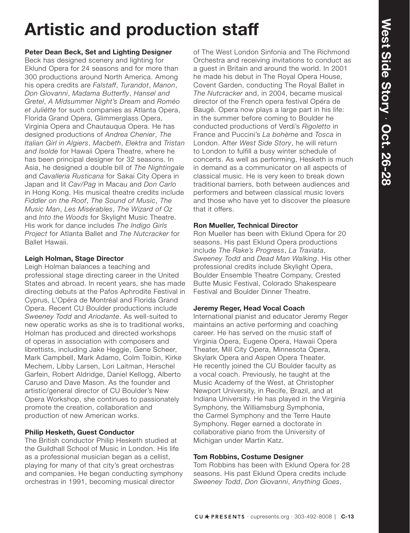# **Artistic and production staff**

#### **Peter Dean Beck, Set and Lighting Designer**

Beck has designed scenery and lighting for Eklund Opera for 24 seasons and for more than 300 productions around North America. Among his opera credits are *Falstaff*, *Turandot*, *Manon*, *Don Giovanni*, *Madama Butterfly*, *Hansel and Gretel*, *A Midsummer Night's Dream* and *Roméo et Juliétte* for such companies as Atlanta Opera, Florida Grand Opera, Glimmerglass Opera, Virginia Opera and Chautauqua Opera. He has designed productions of *Andrea Chenier*, *The Italian Girl in Algiers*, *Macbeth*, *Elektra* and *Tristan and Isolde* for Hawaii Opera Theatre, where he has been principal designer for 32 seasons. In Asia, he designed a double bill of *The Nightingale*  and *Cavalleria Rusticana* for Sakai City Opera in Japan and lit *Cav/Pag* in Macau and *Don Carlo*  in Hong Kong. His musical theatre credits include *Fiddler on the Roof*, *The Sound of Music*, *The Music Man*, *Les Misérables*, *The Wizard of Oz* and *Into the Woods* for Skylight Music Theatre. His work for dance includes *The Indigo Girls Project* for Atlanta Ballet and *The Nutcracker* for Ballet Hawaii.

#### **Leigh Holman, Stage Director**

Leigh Holman balances a teaching and professional stage directing career in the United States and abroad. In recent years, she has made directing debuts at the Pafos Aphrodite Festival in Cyprus, L'Opéra de Montréal and Florida Grand Opera. Recent CU Boulder productions include *Sweeney Todd* and *Ariodante*. As well-suited to new operatic works as she is to traditional works, Holman has produced and directed workshops of operas in association with composers and librettists, including Jake Heggie, Gene Scheer, Mark Campbell, Mark Adamo, Colm Toibin, Kirke Mechem, Libby Larsen, Lori Laitman, Herschel Garfein, Robert Aldridge, Daniel Kellogg, Alberto Caruso and Dave Mason. As the founder and artistic/general director of CU Boulder's New Opera Workshop, she continues to passionately promote the creation, collaboration and production of new American works.

#### **Philip Hesketh, Guest Conductor**

The British conductor Philip Hesketh studied at the Guildhall School of Music in London. His life as a professional musician began as a cellist, playing for many of that city's great orchestras and companies. He began conducting symphony orchestras in 1991, becoming musical director

of The West London Sinfonia and The Richmond Orchestra and receiving invitations to conduct as a guest in Britain and around the world. In 2001 he made his debut in The Royal Opera House, Covent Garden, conducting The Royal Ballet in *The Nutcracker* and, in 2004, became musical director of the French opera festival Opéra de Baugé. Opera now plays a large part in his life: in the summer before coming to Boulder he conducted productions of Verdi's *Rigoletto* in France and Puccini's *La bohème* and *Tosca* in London. After *West Side Story*, he will return to London to fulfill a busy winter schedule of concerts. As well as performing, Hesketh is much in demand as a communicator on all aspects of classical music. He is very keen to break down traditional barriers, both between audiences and performers and between classical music lovers and those who have yet to discover the pleasure that it offers.

#### **Ron Mueller, Technical Director**

Ron Mueller has been with Eklund Opera for 20 seasons. His past Eklund Opera productions include *The Rake's Progress*, *La Traviata*, *Sweeney Todd* and *Dead Man Walking*. His other professional credits include Skylight Opera, Boulder Ensemble Theatre Company, Crested Butte Music Festival, Colorado Shakespeare Festival and Boulder Dinner Theatre.

#### **Jeremy Reger, Head Vocal Coach**

International pianist and educator Jeremy Reger maintains an active performing and coaching career. He has served on the music staff of Virginia Opera, Eugene Opera, Hawaii Opera Theater, Mill City Opera, Minnesota Opera, Skylark Opera and Aspen Opera Theater. He recently joined the CU Boulder faculty as a vocal coach. Previously, he taught at the Music Academy of the West, at Christopher Newport University, in Recife, Brazil, and at Indiana University. He has played in the Virginia Symphony, the Williamsburg Symphonia, the Carmel Symphony and the Terre Haute Symphony. Reger earned a doctorate in collaborative piano from the University of Michigan under Martin Katz.

#### **Tom Robbins, Costume Designer**

Tom Robbins has been with Eklund Opera for 28 seasons. His past Eklund Opera credits include *Sweeney Todd*, *Don Giovanni*, *Anything Goes*,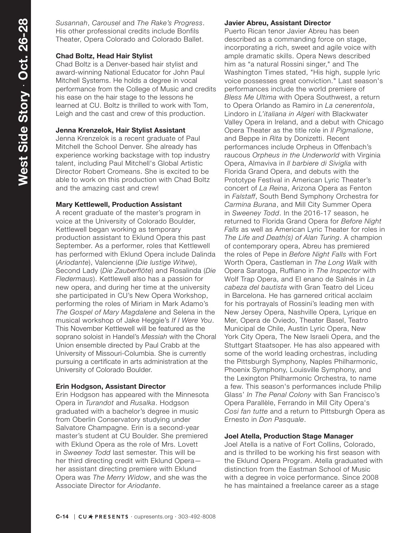*Susannah*, *Carousel* and *The Rake's Progress*. His other professional credits include Bonfils Theater, Opera Colorado and Colorado Ballet.

#### **Chad Boltz, Head Hair Stylist**

Chad Boltz is a Denver-based hair stylist and award-winning National Educator for John Paul Mitchell Systems. He holds a degree in vocal performance from the College of Music and credits his ease on the hair stage to the lessons he learned at CU. Boltz is thrilled to work with Tom, Leigh and the cast and crew of this production.

#### **Jenna Krenzelok, Hair Stylist Assistant**

Jenna Krenzelok is a recent graduate of Paul Mitchell the School Denver. She already has experience working backstage with top industry talent, including Paul Mitchell's Global Artistic Director Robert Cromeans. She is excited to be able to work on this production with Chad Boltz and the amazing cast and crew!

#### **Mary Kettlewell, Production Assistant**

A recent graduate of the master's program in voice at the University of Colorado Boulder, Kettlewell began working as temporary production assistant to Eklund Opera this past September. As a performer, roles that Kettlewell has performed with Eklund Opera include Dalinda (*Ariodante*), Valencienne (*Die lustige Witwe*), Second Lady (*Die Zauberflöte*) and Rosalinda (*Die Fledermaus*). Kettlewell also has a passion for new opera, and during her time at the university she participated in CU's New Opera Workshop, performing the roles of Miriam in Mark Adamo's *The Gospel of Mary Magdalene* and Selena in the musical workshop of Jake Heggie's *If I Were You*. This November Kettlewell will be featured as the soprano soloist in Handel's *Messiah* with the Choral Union ensemble directed by Paul Crabb at the University of Missouri-Columbia. She is currently pursuing a certificate in arts administration at the University of Colorado Boulder.

#### **Erin Hodgson, Assistant Director**

Erin Hodgson has appeared with the Minnesota Opera in *Turandot* and *Rusalka*. Hodgson graduated with a bachelor's degree in music from Oberlin Conservatory studying under Salvatore Champagne. Erin is a second-year master's student at CU Boulder. She premiered with Eklund Opera as the role of Mrs. Lovett in *Sweeney Todd* last semester. This will be her third directing credit with Eklund Opera her assistant directing premiere with Eklund Opera was *The Merry Widow*, and she was the Associate Director for *Ariodante*.

#### **Javier Abreu, Assistant Director**

Puerto Rican tenor Javier Abreu has been described as a commanding force on stage, incorporating a rich, sweet and agile voice with ample dramatic skills. Opera News described him as "a natural Rossini singer," and The Washington Times stated, "His high, supple lyric voice possesses great conviction." Last season's performances include the world premiere of *Bless Me Ultima* with Opera Southwest, a return to Opera Orlando as Ramiro in *La cenerentola*, Lindoro in *L'italiana in Algeri* with Blackwater Valley Opera in Ireland, and a debut with Chicago Opera Theater as the title role in *Il Pigmalione*, and Beppe in *Rita* by Donizetti. Recent performances include Orpheus in Offenbach's raucous *Orpheus in the Underworld* with Virginia Opera, Almaviva in *Il barbiere di Siviglia* with Florida Grand Opera, and debuts with the Prototype Festival in American Lyric Theater's concert of *La Reina*, Arizona Opera as Fenton in *Falstaff*, South Bend Symphony Orchestra for *Carmina Burana*, and Mill City Summer Opera in *Sweeney Todd*. In the 2016-17 season, he returned to Florida Grand Opera for *Before Night Falls* as well as American Lyric Theater for roles in *The Life and Death(s) of Alan Turing*. A champion of contemporary opera, Abreu has premiered the roles of Pepe in *Before Night Falls* with Fort Worth Opera, Castleman in *The Long Walk* with Opera Saratoga, Ruffiano in *The Inspector* with Wolf Trap Opera, and El enano de Salnés in *La cabeza del bautista* with Gran Teatro del Liceu in Barcelona. He has garnered critical acclaim for his portrayals of Rossini's leading men with New Jersey Opera, Nashville Opera, Lyrique en Mer, Opera de Oviedo, Theater Basel, Teatro Municipal de Chile, Austin Lyric Opera, New York City Opera, The New Israeli Opera, and the Stuttgart Staatsoper. He has also appeared with some of the world leading orchestras, including the Pittsburgh Symphony, Naples Philharmonic, Phoenix Symphony, Louisville Symphony, and the Lexington Philharmonic Orchestra, to name a few. This season's performances include Philip Glass' *In The Penal Colony* with San Francisco's Opera Parallèle, Ferrando in Mill City Opera's *Cosi fan tutte* and a return to Pittsburgh Opera as Ernesto in *Don Pasquale*.

#### **Joel Atella, Production Stage Manager**

Joel Atella is a native of Fort Collins, Colorado, and is thrilled to be working his first season with the Eklund Opera Program. Atella graduated with distinction from the Eastman School of Music with a degree in voice performance. Since 2008 he has maintained a freelance career as a stage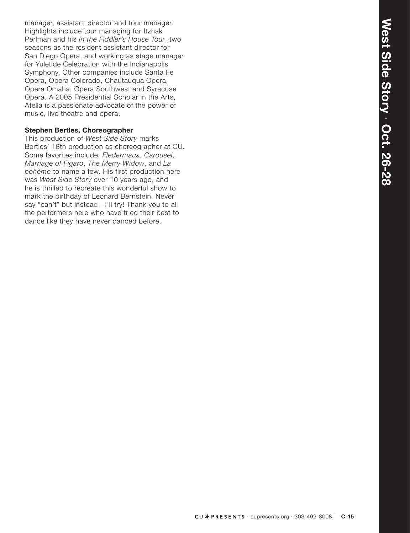manager, assistant director and tour manager. Highlights include tour managing for Itzhak Perlman and his *In the Fiddler's House Tour*, two seasons as the resident assistant director for San Diego Opera, and working as stage manager for Yuletide Celebration with the Indianapolis Symphony. Other companies include Santa Fe Opera, Opera Colorado, Chautauqua Opera, Opera Omaha, Opera Southwest and Syracuse Opera. A 2005 Presidential Scholar in the Arts, Atella is a passionate advocate of the power of music, live theatre and opera.

#### **Stephen Bertles, Choreographer**

This production of *West Side Story* marks Bertles' 18th production as choreographer at CU. Some favorites include: *Fledermaus*, *Carousel*, *Marriage of Figaro*, *The Merry Widow*, and *La bohème* to name a few. His first production here was *West Side Story* over 10 years ago, and he is thrilled to recreate this wonderful show to mark the birthday of Leonard Bernstein. Never say "can't" but instead-I'll try! Thank you to all the performers here who have tried their best to dance like they have never danced before.